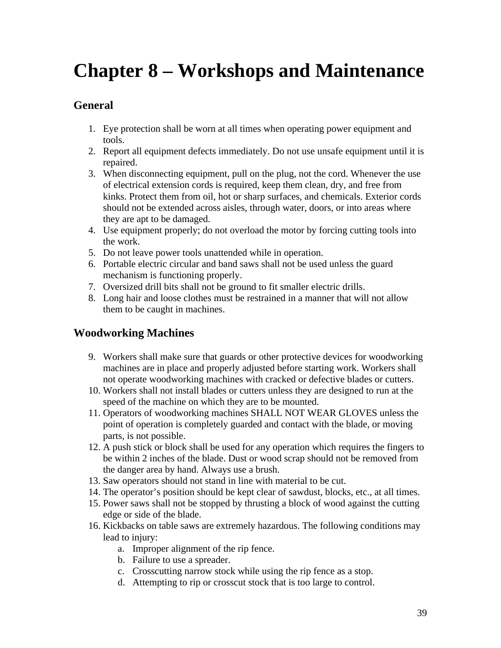# **Chapter 8 – Workshops and Maintenance**

## **General**

- 1. Eye protection shall be worn at all times when operating power equipment and tools.
- 2. Report all equipment defects immediately. Do not use unsafe equipment until it is repaired.
- 3. When disconnecting equipment, pull on the plug, not the cord. Whenever the use of electrical extension cords is required, keep them clean, dry, and free from kinks. Protect them from oil, hot or sharp surfaces, and chemicals. Exterior cords should not be extended across aisles, through water, doors, or into areas where they are apt to be damaged.
- 4. Use equipment properly; do not overload the motor by forcing cutting tools into the work.
- 5. Do not leave power tools unattended while in operation.
- 6. Portable electric circular and band saws shall not be used unless the guard mechanism is functioning properly.
- 7. Oversized drill bits shall not be ground to fit smaller electric drills.
- 8. Long hair and loose clothes must be restrained in a manner that will not allow them to be caught in machines.

## **Woodworking Machines**

- 9. Workers shall make sure that guards or other protective devices for woodworking machines are in place and properly adjusted before starting work. Workers shall not operate woodworking machines with cracked or defective blades or cutters.
- 10. Workers shall not install blades or cutters unless they are designed to run at the speed of the machine on which they are to be mounted.
- 11. Operators of woodworking machines SHALL NOT WEAR GLOVES unless the point of operation is completely guarded and contact with the blade, or moving parts, is not possible.
- 12. A push stick or block shall be used for any operation which requires the fingers to be within 2 inches of the blade. Dust or wood scrap should not be removed from the danger area by hand. Always use a brush.
- 13. Saw operators should not stand in line with material to be cut.
- 14. The operator's position should be kept clear of sawdust, blocks, etc., at all times.
- 15. Power saws shall not be stopped by thrusting a block of wood against the cutting edge or side of the blade.
- 16. Kickbacks on table saws are extremely hazardous. The following conditions may lead to injury:
	- a. Improper alignment of the rip fence.
	- b. Failure to use a spreader.
	- c. Crosscutting narrow stock while using the rip fence as a stop.
	- d. Attempting to rip or crosscut stock that is too large to control.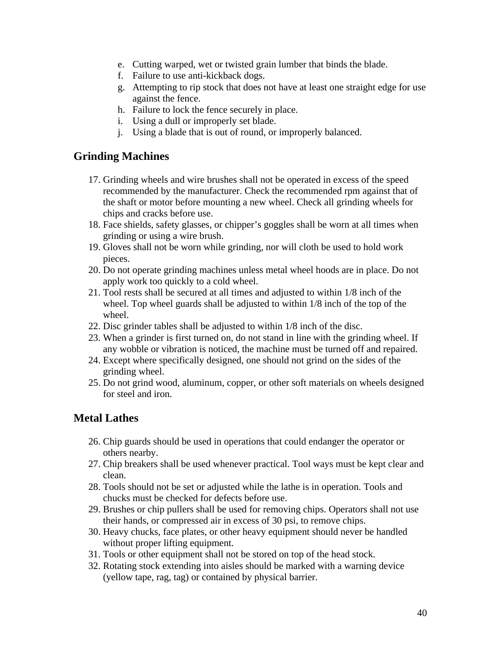- e. Cutting warped, wet or twisted grain lumber that binds the blade.
- f. Failure to use anti-kickback dogs.
- g. Attempting to rip stock that does not have at least one straight edge for use against the fence.
- h. Failure to lock the fence securely in place.
- i. Using a dull or improperly set blade.
- j. Using a blade that is out of round, or improperly balanced.

#### **Grinding Machines**

- 17. Grinding wheels and wire brushes shall not be operated in excess of the speed recommended by the manufacturer. Check the recommended rpm against that of the shaft or motor before mounting a new wheel. Check all grinding wheels for chips and cracks before use.
- 18. Face shields, safety glasses, or chipper's goggles shall be worn at all times when grinding or using a wire brush.
- 19. Gloves shall not be worn while grinding, nor will cloth be used to hold work pieces.
- 20. Do not operate grinding machines unless metal wheel hoods are in place. Do not apply work too quickly to a cold wheel.
- 21. Tool rests shall be secured at all times and adjusted to within 1/8 inch of the wheel. Top wheel guards shall be adjusted to within 1/8 inch of the top of the wheel.
- 22. Disc grinder tables shall be adjusted to within 1/8 inch of the disc.
- 23. When a grinder is first turned on, do not stand in line with the grinding wheel. If any wobble or vibration is noticed, the machine must be turned off and repaired.
- 24. Except where specifically designed, one should not grind on the sides of the grinding wheel.
- 25. Do not grind wood, aluminum, copper, or other soft materials on wheels designed for steel and iron.

## **Metal Lathes**

- 26. Chip guards should be used in operations that could endanger the operator or others nearby.
- 27. Chip breakers shall be used whenever practical. Tool ways must be kept clear and clean.
- 28. Tools should not be set or adjusted while the lathe is in operation. Tools and chucks must be checked for defects before use.
- 29. Brushes or chip pullers shall be used for removing chips. Operators shall not use their hands, or compressed air in excess of 30 psi, to remove chips.
- 30. Heavy chucks, face plates, or other heavy equipment should never be handled without proper lifting equipment.
- 31. Tools or other equipment shall not be stored on top of the head stock.
- 32. Rotating stock extending into aisles should be marked with a warning device (yellow tape, rag, tag) or contained by physical barrier.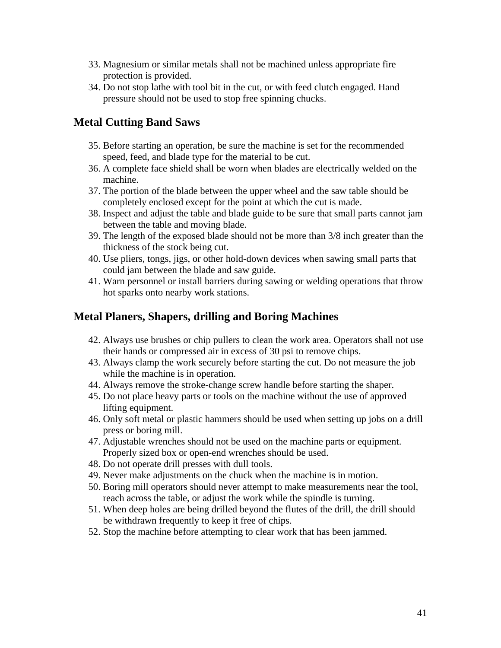- 33. Magnesium or similar metals shall not be machined unless appropriate fire protection is provided.
- 34. Do not stop lathe with tool bit in the cut, or with feed clutch engaged. Hand pressure should not be used to stop free spinning chucks.

## **Metal Cutting Band Saws**

- 35. Before starting an operation, be sure the machine is set for the recommended speed, feed, and blade type for the material to be cut.
- 36. A complete face shield shall be worn when blades are electrically welded on the machine.
- 37. The portion of the blade between the upper wheel and the saw table should be completely enclosed except for the point at which the cut is made.
- 38. Inspect and adjust the table and blade guide to be sure that small parts cannot jam between the table and moving blade.
- 39. The length of the exposed blade should not be more than 3/8 inch greater than the thickness of the stock being cut.
- 40. Use pliers, tongs, jigs, or other hold-down devices when sawing small parts that could jam between the blade and saw guide.
- 41. Warn personnel or install barriers during sawing or welding operations that throw hot sparks onto nearby work stations.

#### **Metal Planers, Shapers, drilling and Boring Machines**

- 42. Always use brushes or chip pullers to clean the work area. Operators shall not use their hands or compressed air in excess of 30 psi to remove chips.
- 43. Always clamp the work securely before starting the cut. Do not measure the job while the machine is in operation.
- 44. Always remove the stroke-change screw handle before starting the shaper.
- 45. Do not place heavy parts or tools on the machine without the use of approved lifting equipment.
- 46. Only soft metal or plastic hammers should be used when setting up jobs on a drill press or boring mill.
- 47. Adjustable wrenches should not be used on the machine parts or equipment. Properly sized box or open-end wrenches should be used.
- 48. Do not operate drill presses with dull tools.
- 49. Never make adjustments on the chuck when the machine is in motion.
- 50. Boring mill operators should never attempt to make measurements near the tool, reach across the table, or adjust the work while the spindle is turning.
- 51. When deep holes are being drilled beyond the flutes of the drill, the drill should be withdrawn frequently to keep it free of chips.
- 52. Stop the machine before attempting to clear work that has been jammed.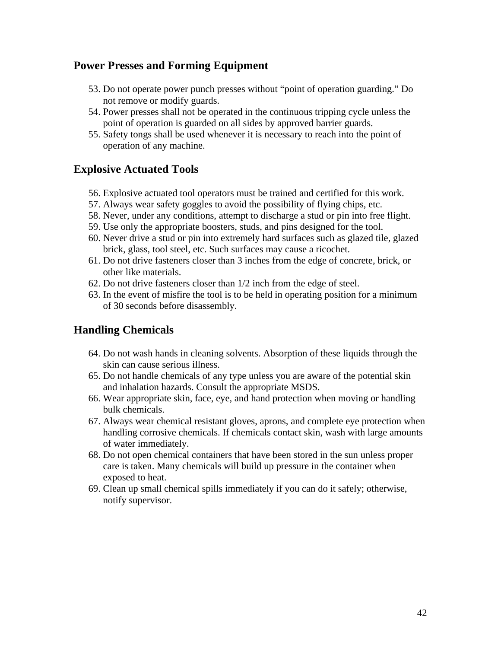#### **Power Presses and Forming Equipment**

- 53. Do not operate power punch presses without "point of operation guarding." Do not remove or modify guards.
- 54. Power presses shall not be operated in the continuous tripping cycle unless the point of operation is guarded on all sides by approved barrier guards.
- 55. Safety tongs shall be used whenever it is necessary to reach into the point of operation of any machine.

#### **Explosive Actuated Tools**

- 56. Explosive actuated tool operators must be trained and certified for this work.
- 57. Always wear safety goggles to avoid the possibility of flying chips, etc.
- 58. Never, under any conditions, attempt to discharge a stud or pin into free flight.
- 59. Use only the appropriate boosters, studs, and pins designed for the tool.
- 60. Never drive a stud or pin into extremely hard surfaces such as glazed tile, glazed brick, glass, tool steel, etc. Such surfaces may cause a ricochet.
- 61. Do not drive fasteners closer than 3 inches from the edge of concrete, brick, or other like materials.
- 62. Do not drive fasteners closer than 1/2 inch from the edge of steel.
- 63. In the event of misfire the tool is to be held in operating position for a minimum of 30 seconds before disassembly.

## **Handling Chemicals**

- 64. Do not wash hands in cleaning solvents. Absorption of these liquids through the skin can cause serious illness.
- 65. Do not handle chemicals of any type unless you are aware of the potential skin and inhalation hazards. Consult the appropriate MSDS.
- 66. Wear appropriate skin, face, eye, and hand protection when moving or handling bulk chemicals.
- 67. Always wear chemical resistant gloves, aprons, and complete eye protection when handling corrosive chemicals. If chemicals contact skin, wash with large amounts of water immediately.
- 68. Do not open chemical containers that have been stored in the sun unless proper care is taken. Many chemicals will build up pressure in the container when exposed to heat.
- 69. Clean up small chemical spills immediately if you can do it safely; otherwise, notify supervisor.